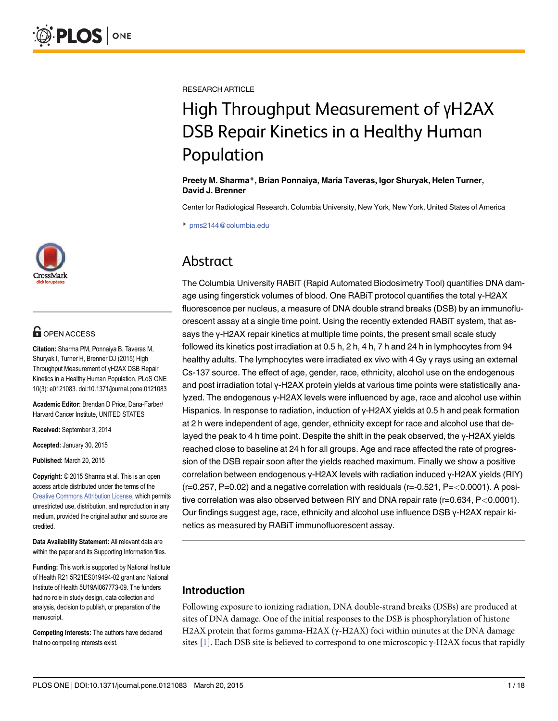

# **OPEN ACCESS**

Citation: Sharma PM, Ponnaiya B, Taveras M, Shuryak I, Turner H, Brenner DJ (2015) High Throughput Measurement of γH2AX DSB Repair Kinetics in a Healthy Human Population. PLoS ONE 10(3): e0121083. doi:10.1371/journal.pone.0121083

Academic Editor: Brendan D Price, Dana-Farber/ Harvard Cancer Institute, UNITED STATES

Received: September 3, 2014

Accepted: January 30, 2015

Published: March 20, 2015

Copyright: © 2015 Sharma et al. This is an open access article distributed under the terms of the [Creative Commons Attribution License,](http://creativecommons.org/licenses/by/4.0/) which permits unrestricted use, distribution, and reproduction in any medium, provided the original author and source are credited.

Data Availability Statement: All relevant data are within the paper and its Supporting Information files.

Funding: This work is supported by National Institute of Health R21 5R21ES019494-02 grant and National Institute of Health 5U19AI067773-09. The funders had no role in study design, data collection and analysis, decision to publish, or preparation of the manuscript.

Competing Interests: The authors have declared that no competing interests exist.

<span id="page-0-0"></span>RESEARCH ARTICLE

# High Throughput Measurement of <sup>γ</sup>H2AX Population

Population Preety M. Sharma\*, Brian Ponnaiya, Maria Taveras, Igor Shuryak, Helen Turner, David J. Brenner

Center for Radiological Research, Columbia University, New York, New York, United States of America

\* pms2144@columbia.edu

# Abstract

Abstract The Columbia University RABiT (Rapid Automated Biodosimetry Tool) quantifies DNA damage using fingerstick volumes of blood. One RABiT protocol quantifies the total γ-H2AX fluorescence per nucleus, a measure of DNA double strand breaks (DSB) by an immunofluorescent assay at a single time point. Using the recently extended RABiT system, that assays the γ-H2AX repair kinetics at multiple time points, the present small scale study followed its kinetics post irradiation at 0.5 h, 2 h, 4 h, 7 h and 24 h in lymphocytes from 94 healthy adults. The lymphocytes were irradiated ex vivo with 4 Gy γ rays using an external Cs-137 source. The effect of age, gender, race, ethnicity, alcohol use on the endogenous and post irradiation total γ-H2AX protein yields at various time points were statistically analyzed. The endogenous γ-H2AX levels were influenced by age, race and alcohol use within Hispanics. In response to radiation, induction of γ-H2AX yields at 0.5 h and peak formation at 2 h were independent of age, gender, ethnicity except for race and alcohol use that delayed the peak to 4 h time point. Despite the shift in the peak observed, the γ-H2AX yields reached close to baseline at 24 h for all groups. Age and race affected the rate of progression of the DSB repair soon after the yields reached maximum. Finally we show a positive correlation between endogenous γ-H2AX levels with radiation induced γ-H2AX yields (RIY)  $(r=0.257, P=0.02)$  and a negative correlation with residuals  $(r=-0.521, P=<0.0001)$ . A positive correlation was also observed between RIY and DNA repair rate (r=0.634, P<0.0001). Our findings suggest age, race, ethnicity and alcohol use influence DSB γ-H2AX repair kinetics as measured by RABiT immunofluorescent assay.

# Introduction

Following exposure to ionizing radiation, DNA double-strand breaks (DSBs) are produced at sites of DNA damage. One of the initial responses to the DSB is phosphorylation of histone H2AX protein that forms gamma-H2AX (γ-H2AX) foci within minutes at the DNA damage sites [[1\]](#page-14-0). Each DSB site is believed to correspond to one microscopic  $\gamma$ -H2AX focus that rapidly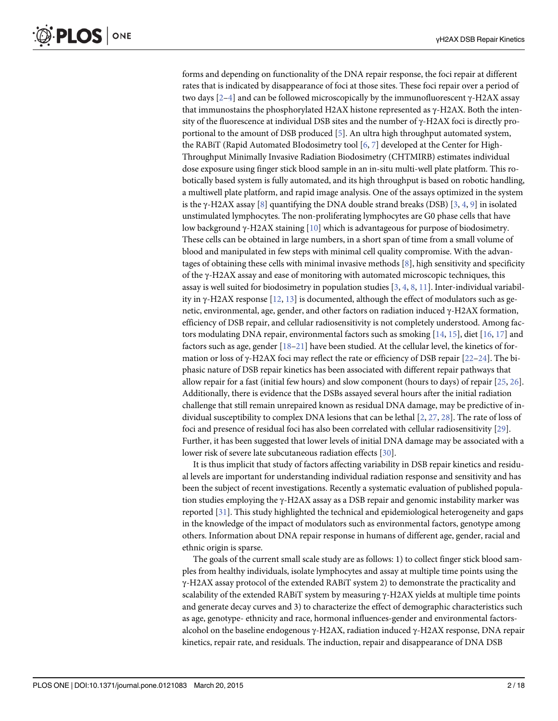<span id="page-1-0"></span>forms and depending on functionality of the DNA repair response, the foci repair at different rates that is indicated by disappearance of foci at those sites. These foci repair over a period of two days [\[2](#page-14-0)–[4](#page-14-0)] and can be followed microscopically by the immunofluorescent γ-H2AX assay that immunostains the phosphorylated H2AX histone represented as γ-H2AX. Both the intensity of the fluorescence at individual DSB sites and the number of γ-H2AX foci is directly proportional to the amount of DSB produced  $[5]$  $[5]$ . An ultra high throughput automated system, the RABiT (Rapid Automated BIodosimetry tool [[6](#page-14-0), [7\]](#page-15-0) developed at the Center for High-Throughput Minimally Invasive Radiation Biodosimetry (CHTMIRB) estimates individual dose exposure using finger stick blood sample in an in-situ multi-well plate platform. This robotically based system is fully automated, and its high throughput is based on robotic handling, a multiwell plate platform, and rapid image analysis. One of the assays optimized in the system is the γ-H2AX assay [[8](#page-15-0)] quantifying the DNA double strand breaks (DSB) [[3](#page-14-0), [4,](#page-14-0) [9\]](#page-15-0) in isolated unstimulated lymphocytes. The non-proliferating lymphocytes are G0 phase cells that have low background γ-H2AX staining [[10](#page-15-0)] which is advantageous for purpose of biodosimetry. These cells can be obtained in large numbers, in a short span of time from a small volume of blood and manipulated in few steps with minimal cell quality compromise. With the advantages of obtaining these cells with minimal invasive methods [\[8](#page-15-0)], high sensitivity and specificity of the γ-H2AX assay and ease of monitoring with automated microscopic techniques, this assay is well suited for biodosimetry in population studies [[3](#page-14-0), [4](#page-14-0), [8,](#page-15-0) [11](#page-15-0)]. Inter-individual variability in γ-H2AX response  $[12, 13]$  $[12, 13]$  $[12, 13]$  is documented, although the effect of modulators such as genetic, environmental, age, gender, and other factors on radiation induced γ-H2AX formation, efficiency of DSB repair, and cellular radiosensitivity is not completely understood. Among factors modulating DNA repair, environmental factors such as smoking  $[14, 15]$  $[14, 15]$  $[14, 15]$ , diet  $[16, 17]$  $[16, 17]$  $[16, 17]$  and factors such as age, gender  $[18-21]$  $[18-21]$  $[18-21]$  $[18-21]$  have been studied. At the cellular level, the kinetics of formation or loss of γ-H2AX foci may reflect the rate or efficiency of DSB repair [\[22](#page-15-0)–[24\]](#page-15-0). The biphasic nature of DSB repair kinetics has been associated with different repair pathways that allow repair for a fast (initial few hours) and slow component (hours to days) of repair [[25](#page-15-0), [26](#page-16-0)]. Additionally, there is evidence that the DSBs assayed several hours after the initial radiation challenge that still remain unrepaired known as residual DNA damage, may be predictive of individual susceptibility to complex DNA lesions that can be lethal [\[2,](#page-14-0) [27,](#page-16-0) [28\]](#page-16-0). The rate of loss of foci and presence of residual foci has also been correlated with cellular radiosensitivity [[29](#page-16-0)]. Further, it has been suggested that lower levels of initial DNA damage may be associated with a lower risk of severe late subcutaneous radiation effects [[30](#page-16-0)].

It is thus implicit that study of factors affecting variability in DSB repair kinetics and residual levels are important for understanding individual radiation response and sensitivity and has been the subject of recent investigations. Recently a systematic evaluation of published population studies employing the γ-H2AX assay as a DSB repair and genomic instability marker was reported [[31](#page-16-0)]. This study highlighted the technical and epidemiological heterogeneity and gaps in the knowledge of the impact of modulators such as environmental factors, genotype among others. Information about DNA repair response in humans of different age, gender, racial and ethnic origin is sparse.

The goals of the current small scale study are as follows: 1) to collect finger stick blood samples from healthy individuals, isolate lymphocytes and assay at multiple time points using the γ-H2AX assay protocol of the extended RABiT system 2) to demonstrate the practicality and scalability of the extended RABiT system by measuring  $\gamma$ -H2AX yields at multiple time points and generate decay curves and 3) to characterize the effect of demographic characteristics such as age, genotype- ethnicity and race, hormonal influences-gender and environmental factorsalcohol on the baseline endogenous γ-H2AX, radiation induced γ-H2AX response, DNA repair kinetics, repair rate, and residuals. The induction, repair and disappearance of DNA DSB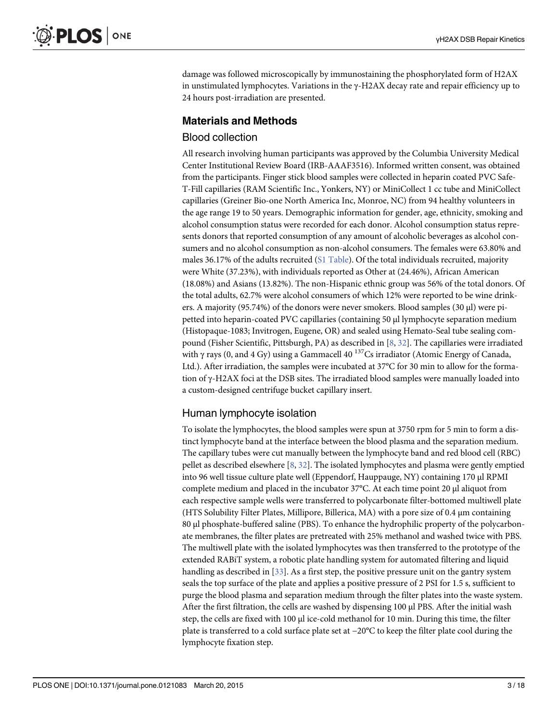<span id="page-2-0"></span>damage was followed microscopically by immunostaining the phosphorylated form of H2AX in unstimulated lymphocytes. Variations in the  $\gamma$ -H2AX decay rate and repair efficiency up to 24 hours post-irradiation are presented.

# Materials and Methods

# Blood collection

All research involving human participants was approved by the Columbia University Medical Center Institutional Review Board (IRB-AAAF3516). Informed written consent, was obtained from the participants. Finger stick blood samples were collected in heparin coated PVC Safe-T-Fill capillaries (RAM Scientific Inc., Yonkers, NY) or MiniCollect 1 cc tube and MiniCollect capillaries (Greiner Bio-one North America Inc, Monroe, NC) from 94 healthy volunteers in the age range 19 to 50 years. Demographic information for gender, age, ethnicity, smoking and alcohol consumption status were recorded for each donor. Alcohol consumption status represents donors that reported consumption of any amount of alcoholic beverages as alcohol consumers and no alcohol consumption as non-alcohol consumers. The females were 63.80% and males 36.17% of the adults recruited ( $SL$  Table). Of the total individuals recruited, majority were White (37.23%), with individuals reported as Other at (24.46%), African American (18.08%) and Asians (13.82%). The non-Hispanic ethnic group was 56% of the total donors. Of the total adults, 62.7% were alcohol consumers of which 12% were reported to be wine drinkers. A majority (95.74%) of the donors were never smokers. Blood samples (30 μl) were pipetted into heparin-coated PVC capillaries (containing 50 μl lymphocyte separation medium (Histopaque-1083; Invitrogen, Eugene, OR) and sealed using Hemato-Seal tube sealing compound (Fisher Scientific, Pittsburgh, PA) as described in [\[8](#page-15-0), [32](#page-16-0)]. The capillaries were irradiated with  $\gamma$  rays (0, and 4 Gy) using a Gammacell 40<sup>137</sup>Cs irradiator (Atomic Energy of Canada, Ltd.). After irradiation, the samples were incubated at 37°C for 30 min to allow for the formation of γ-H2AX foci at the DSB sites. The irradiated blood samples were manually loaded into a custom-designed centrifuge bucket capillary insert.

# Human lymphocyte isolation

To isolate the lymphocytes, the blood samples were spun at 3750 rpm for 5 min to form a distinct lymphocyte band at the interface between the blood plasma and the separation medium. The capillary tubes were cut manually between the lymphocyte band and red blood cell (RBC) pellet as described elsewhere  $[8, 32]$  $[8, 32]$  $[8, 32]$  $[8, 32]$ . The isolated lymphocytes and plasma were gently emptied into 96 well tissue culture plate well (Eppendorf, Hauppauge, NY) containing 170 μl RPMI complete medium and placed in the incubator 37°C. At each time point 20 μl aliquot from each respective sample wells were transferred to polycarbonate filter-bottomed multiwell plate (HTS Solubility Filter Plates, Millipore, Billerica, MA) with a pore size of 0.4 μm containing 80 μl phosphate-buffered saline (PBS). To enhance the hydrophilic property of the polycarbonate membranes, the filter plates are pretreated with 25% methanol and washed twice with PBS. The multiwell plate with the isolated lymphocytes was then transferred to the prototype of the extended RABiT system, a robotic plate handling system for automated filtering and liquid handling as described in  $[33]$  $[33]$  $[33]$ . As a first step, the positive pressure unit on the gantry system seals the top surface of the plate and applies a positive pressure of 2 PSI for 1.5 s, sufficient to purge the blood plasma and separation medium through the filter plates into the waste system. After the first filtration, the cells are washed by dispensing 100 μl PBS. After the initial wash step, the cells are fixed with 100 μl ice-cold methanol for 10 min. During this time, the filter plate is transferred to a cold surface plate set at −20°C to keep the filter plate cool during the lymphocyte fixation step.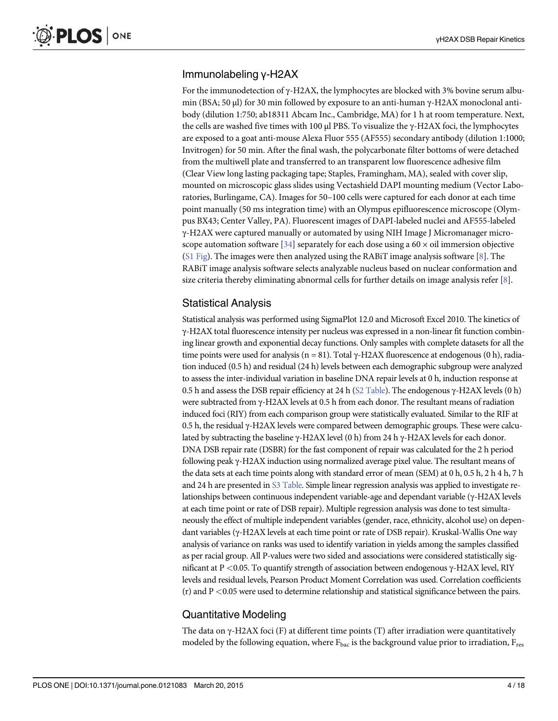# <span id="page-3-0"></span>Immunolabeling γ-H2AX

For the immunodetection of  $\gamma$ -H2AX, the lymphocytes are blocked with 3% bovine serum albumin (BSA; 50 μl) for 30 min followed by exposure to an anti-human γ-H2AX monoclonal antibody (dilution 1:750; ab18311 Abcam Inc., Cambridge, MA) for 1 h at room temperature. Next, the cells are washed five times with 100  $\mu$ l PBS. To visualize the  $\gamma$ -H2AX foci, the lymphocytes are exposed to a goat anti-mouse Alexa Fluor 555 (AF555) secondary antibody (dilution 1:1000; Invitrogen) for 50 min. After the final wash, the polycarbonate filter bottoms of were detached from the multiwell plate and transferred to an transparent low fluorescence adhesive film (Clear View long lasting packaging tape; Staples, Framingham, MA), sealed with cover slip, mounted on microscopic glass slides using Vectashield DAPI mounting medium (Vector Laboratories, Burlingame, CA). Images for 50–100 cells were captured for each donor at each time point manually (50 ms integration time) with an Olympus epifluorescence microscope (Olympus BX43; Center Valley, PA). Fluorescent images of DAPI-labeled nuclei and AF555-labeled γ-H2AX were captured manually or automated by using NIH Image J Micromanager micro-scope automation software [\[34\]](#page-16-0) separately for each dose using a  $60 \times$  oil immersion objective [\(S1 Fig](#page-13-0)). The images were then analyzed using the RABiT image analysis software [[8\]](#page-15-0). The RABiT image analysis software selects analyzable nucleus based on nuclear conformation and size criteria thereby eliminating abnormal cells for further details on image analysis refer [\[8](#page-15-0)].

# Statistical Analysis

Statistical analysis was performed using SigmaPlot 12.0 and Microsoft Excel 2010. The kinetics of γ-H2AX total fluorescence intensity per nucleus was expressed in a non-linear fit function combining linear growth and exponential decay functions. Only samples with complete datasets for all the time points were used for analysis (n = 81). Total γ-H2AX fluorescence at endogenous (0 h), radiation induced (0.5 h) and residual (24 h) levels between each demographic subgroup were analyzed to assess the inter-individual variation in baseline DNA repair levels at 0 h, induction response at 0.5 h and assess the DSB repair efficiency at 24 h [\(S2 Table\)](#page-14-0). The endogenous γ-H2AX levels (0 h) were subtracted from γ-H2AX levels at 0.5 h from each donor. The resultant means of radiation induced foci (RIY) from each comparison group were statistically evaluated. Similar to the RIF at 0.5 h, the residual γ-H2AX levels were compared between demographic groups. These were calculated by subtracting the baseline γ-H2AX level (0 h) from 24 h γ-H2AX levels for each donor. DNA DSB repair rate (DSBR) for the fast component of repair was calculated for the 2 h period following peak γ-H2AX induction using normalized average pixel value. The resultant means of the data sets at each time points along with standard error of mean (SEM) at 0 h, 0.5 h, 2 h 4 h, 7 h and 24 h are presented in [S3 Table](#page-14-0). Simple linear regression analysis was applied to investigate relationships between continuous independent variable-age and dependant variable (γ-H2AX levels at each time point or rate of DSB repair). Multiple regression analysis was done to test simultaneously the effect of multiple independent variables (gender, race, ethnicity, alcohol use) on dependant variables (γ-H2AX levels at each time point or rate of DSB repair). Kruskal-Wallis One way analysis of variance on ranks was used to identify variation in yields among the samples classified as per racial group. All P-values were two sided and associations were considered statistically significant at P <0.05. To quantify strength of association between endogenous γ-H2AX level, RIY levels and residual levels, Pearson Product Moment Correlation was used. Correlation coefficients  $(r)$  and P <0.05 were used to determine relationship and statistical significance between the pairs.

# Quantitative Modeling

The data on γ-H2AX foci (F) at different time points (T) after irradiation were quantitatively modeled by the following equation, where  $F_{bac}$  is the background value prior to irradiation,  $F_{res}$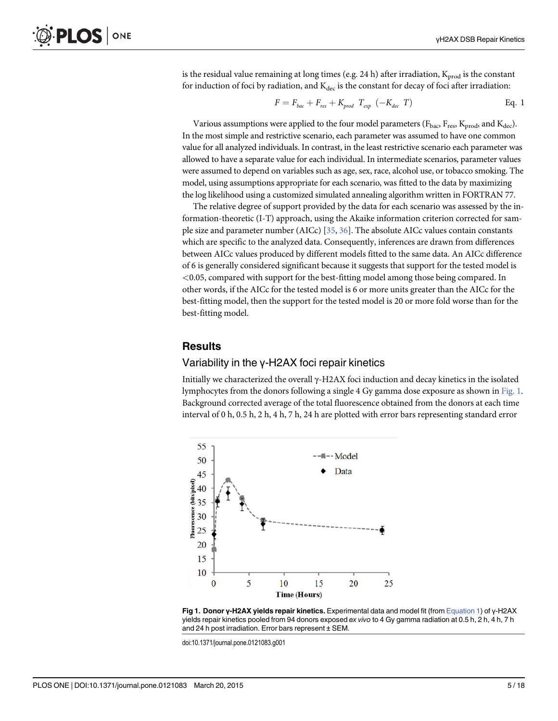<span id="page-4-0"></span>is the residual value remaining at long times (e.g. 24 h) after irradiation,  $K_{prod}$  is the constant for induction of foci by radiation, and  $K_{dec}$  is the constant for decay of foci after irradiation:

$$
F = F_{bac} + F_{res} + K_{prod} T_{exp} (-K_{dec} T)
$$
 Eq. 1

Various assumptions were applied to the four model parameters ( $F_{\text{bac}}$ ,  $F_{\text{res}}$ ,  $K_{\text{prod}}$ , and  $K_{\text{dec}}$ ). In the most simple and restrictive scenario, each parameter was assumed to have one common value for all analyzed individuals. In contrast, in the least restrictive scenario each parameter was allowed to have a separate value for each individual. In intermediate scenarios, parameter values were assumed to depend on variables such as age, sex, race, alcohol use, or tobacco smoking. The model, using assumptions appropriate for each scenario, was fitted to the data by maximizing the log likelihood using a customized simulated annealing algorithm written in FORTRAN 77.

The relative degree of support provided by the data for each scenario was assessed by the information-theoretic (I-T) approach, using the Akaike information criterion corrected for sample size and parameter number (AICc) [\[35,](#page-16-0) [36\]](#page-16-0). The absolute AICc values contain constants which are specific to the analyzed data. Consequently, inferences are drawn from differences between AICc values produced by different models fitted to the same data. An AICc difference of 6 is generally considered significant because it suggests that support for the tested model is  $<$ 0.05, compared with support for the best-fitting model among those being compared. In other words, if the AICc for the tested model is 6 or more units greater than the AICc for the best-fitting model, then the support for the tested model is 20 or more fold worse than for the best-fitting model.

#### **Results**

#### Variability in the γ-H2AX foci repair kinetics

Initially we characterized the overall γ-H2AX foci induction and decay kinetics in the isolated lymphocytes from the donors following a single 4 Gy gamma dose exposure as shown in Fig. 1. Background corrected average of the total fluorescence obtained from the donors at each time interval of 0 h, 0.5 h, 2 h, 4 h, 7 h, 24 h are plotted with error bars representing standard error





doi:10.1371/journal.pone.0121083.g001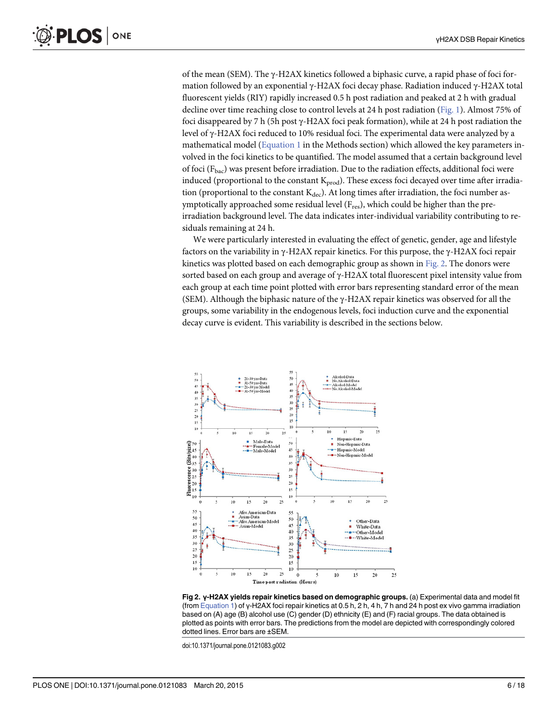<span id="page-5-0"></span>of the mean (SEM). The  $\gamma$ -H2AX kinetics followed a biphasic curve, a rapid phase of foci formation followed by an exponential γ-H2AX foci decay phase. Radiation induced γ-H2AX total fluorescent yields (RIY) rapidly increased 0.5 h post radiation and peaked at 2 h with gradual decline over time reaching close to control levels at 24 h post radiation [\(Fig. 1\)](#page-4-0). Almost 75% of foci disappeared by 7 h (5h post γ-H2AX foci peak formation), while at 24 h post radiation the level of γ-H2AX foci reduced to 10% residual foci. The experimental data were analyzed by a mathematical model ( $Equation 1$  in the Methods section) which allowed the key parameters involved in the foci kinetics to be quantified. The model assumed that a certain background level of foci ( $F_{\text{bac}}$ ) was present before irradiation. Due to the radiation effects, additional foci were induced (proportional to the constant  $K_{prod}$ ). These excess foci decayed over time after irradiation (proportional to the constant  $K_{dec}$ ). At long times after irradiation, the foci number asymptotically approached some residual level (F<sub>res</sub>), which could be higher than the preirradiation background level. The data indicates inter-individual variability contributing to residuals remaining at 24 h.

We were particularly interested in evaluating the effect of genetic, gender, age and lifestyle factors on the variability in γ-H2AX repair kinetics. For this purpose, the γ-H2AX foci repair kinetics was plotted based on each demographic group as shown in  $Fig. 2$ . The donors were sorted based on each group and average of γ-H2AX total fluorescent pixel intensity value from each group at each time point plotted with error bars representing standard error of the mean (SEM). Although the biphasic nature of the γ-H2AX repair kinetics was observed for all the groups, some variability in the endogenous levels, foci induction curve and the exponential decay curve is evident. This variability is described in the sections below.



Fig 2. γ-H2AX yields repair kinetics based on demographic groups. (a) Experimental data and model fit (from [Equation 1](#page-4-0)) of γ-H2AX foci repair kinetics at 0.5 h, 2 h, 4 h, 7 h and 24 h post ex vivo gamma irradiation based on (A) age (B) alcohol use (C) gender (D) ethnicity (E) and (F) racial groups. The data obtained is plotted as points with error bars. The predictions from the model are depicted with correspondingly colored dotted lines. Error bars are ±SEM.

doi:10.1371/journal.pone.0121083.g002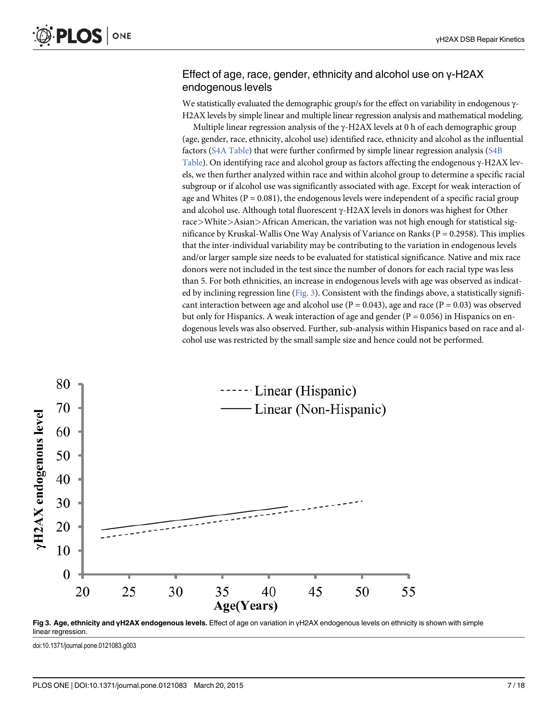#### Effect of age, race, gender, ethnicity and alcohol use on γ-H2AX endogenous levels

We statistically evaluated the demographic group/s for the effect on variability in endogenous γ-H2AX levels by simple linear and multiple linear regression analysis and mathematical modeling.

Multiple linear regression analysis of the  $\gamma$ -H2AX levels at 0 h of each demographic group (age, gender, race, ethnicity, alcohol use) identified race, ethnicity and alcohol as the influential factors [\(S4A Table](#page-14-0)) that were further confirmed by simple linear regression analysis [\(S4B](#page-14-0) [Table](#page-14-0)). On identifying race and alcohol group as factors affecting the endogenous γ-H2AX levels, we then further analyzed within race and within alcohol group to determine a specific racial subgroup or if alcohol use was significantly associated with age. Except for weak interaction of age and Whites ( $P = 0.081$ ), the endogenous levels were independent of a specific racial group and alcohol use. Although total fluorescent γ-H2AX levels in donors was highest for Other race>White>Asian>African American, the variation was not high enough for statistical significance by Kruskal-Wallis One Way Analysis of Variance on Ranks ( $P = 0.2958$ ). This implies that the inter-individual variability may be contributing to the variation in endogenous levels and/or larger sample size needs to be evaluated for statistical significance. Native and mix race donors were not included in the test since the number of donors for each racial type was less than 5. For both ethnicities, an increase in endogenous levels with age was observed as indicated by inclining regression line (Fig. 3). Consistent with the findings above, a statistically significant interaction between age and alcohol use ( $P = 0.043$ ), age and race ( $P = 0.03$ ) was observed but only for Hispanics. A weak interaction of age and gender ( $P = 0.056$ ) in Hispanics on endogenous levels was also observed. Further, sub-analysis within Hispanics based on race and alcohol use was restricted by the small sample size and hence could not be performed.





doi:10.1371/journal.pone.0121083.g003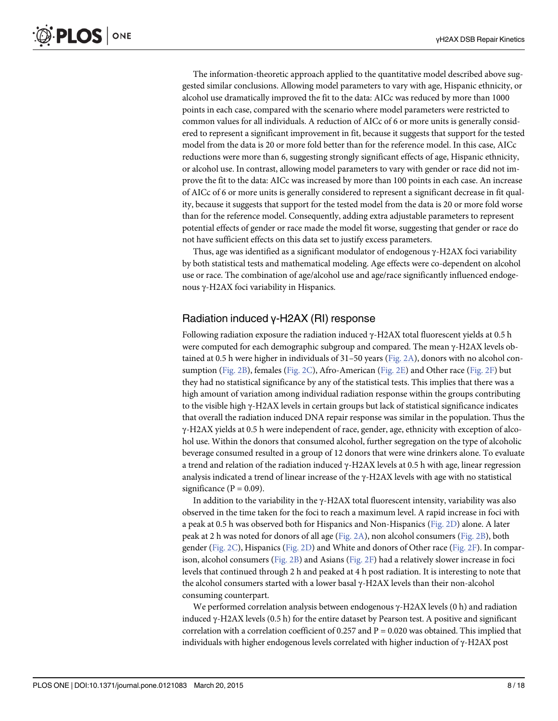The information-theoretic approach applied to the quantitative model described above suggested similar conclusions. Allowing model parameters to vary with age, Hispanic ethnicity, or alcohol use dramatically improved the fit to the data: AICc was reduced by more than 1000 points in each case, compared with the scenario where model parameters were restricted to common values for all individuals. A reduction of AICc of 6 or more units is generally considered to represent a significant improvement in fit, because it suggests that support for the tested model from the data is 20 or more fold better than for the reference model. In this case, AICc reductions were more than 6, suggesting strongly significant effects of age, Hispanic ethnicity, or alcohol use. In contrast, allowing model parameters to vary with gender or race did not improve the fit to the data: AICc was increased by more than 100 points in each case. An increase of AICc of 6 or more units is generally considered to represent a significant decrease in fit quality, because it suggests that support for the tested model from the data is 20 or more fold worse than for the reference model. Consequently, adding extra adjustable parameters to represent potential effects of gender or race made the model fit worse, suggesting that gender or race do not have sufficient effects on this data set to justify excess parameters.

Thus, age was identified as a significant modulator of endogenous γ-H2AX foci variability by both statistical tests and mathematical modeling. Age effects were co-dependent on alcohol use or race. The combination of age/alcohol use and age/race significantly influenced endogenous γ-H2AX foci variability in Hispanics.

## Radiation induced γ-H2AX (RI) response

Following radiation exposure the radiation induced γ-H2AX total fluorescent yields at 0.5 h were computed for each demographic subgroup and compared. The mean γ-H2AX levels obtained at 0.5 h were higher in individuals of  $31-50$  years [\(Fig. 2A\)](#page-5-0), donors with no alcohol con-sumption ([Fig. 2B](#page-5-0)), females ([Fig. 2C\)](#page-5-0), Afro-American ([Fig. 2E\)](#page-5-0) and Other race ([Fig. 2F](#page-5-0)) but they had no statistical significance by any of the statistical tests. This implies that there was a high amount of variation among individual radiation response within the groups contributing to the visible high γ-H2AX levels in certain groups but lack of statistical significance indicates that overall the radiation induced DNA repair response was similar in the population. Thus the γ-H2AX yields at 0.5 h were independent of race, gender, age, ethnicity with exception of alcohol use. Within the donors that consumed alcohol, further segregation on the type of alcoholic beverage consumed resulted in a group of 12 donors that were wine drinkers alone. To evaluate a trend and relation of the radiation induced  $γ$ -H2AX levels at 0.5 h with age, linear regression analysis indicated a trend of linear increase of the  $\gamma$ -H2AX levels with age with no statistical significance ( $P = 0.09$ ).

In addition to the variability in the γ-H2AX total fluorescent intensity, variability was also observed in the time taken for the foci to reach a maximum level. A rapid increase in foci with a peak at 0.5 h was observed both for Hispanics and Non-Hispanics ([Fig. 2D](#page-5-0)) alone. A later peak at 2 h was noted for donors of all age [\(Fig. 2A\)](#page-5-0), non alcohol consumers ([Fig. 2B\)](#page-5-0), both gender ([Fig. 2C\)](#page-5-0), Hispanics [\(Fig. 2D](#page-5-0)) and White and donors of Other race ([Fig. 2F](#page-5-0)). In comparison, alcohol consumers ([Fig. 2B](#page-5-0)) and Asians [\(Fig. 2F](#page-5-0)) had a relatively slower increase in foci levels that continued through 2 h and peaked at 4 h post radiation. It is interesting to note that the alcohol consumers started with a lower basal γ-H2AX levels than their non-alcohol consuming counterpart.

We performed correlation analysis between endogenous γ-H2AX levels (0 h) and radiation induced  $\gamma$ -H2AX levels (0.5 h) for the entire dataset by Pearson test. A positive and significant correlation with a correlation coefficient of  $0.257$  and  $P = 0.020$  was obtained. This implied that individuals with higher endogenous levels correlated with higher induction of  $\gamma$ -H2AX post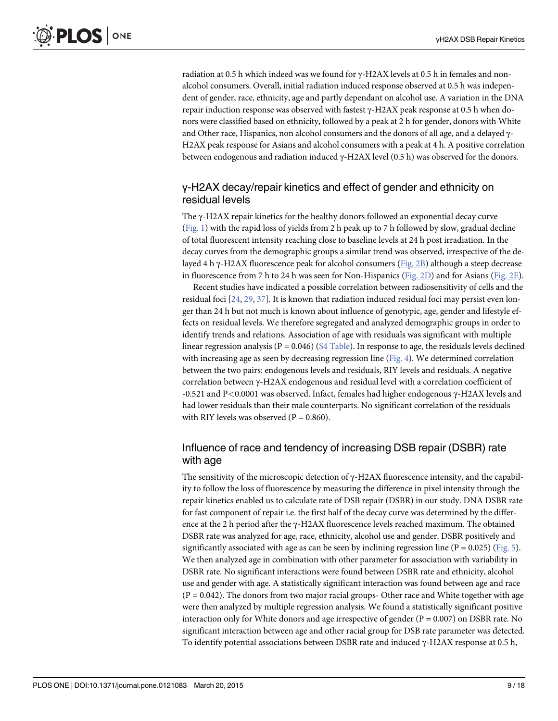<span id="page-8-0"></span>radiation at 0.5 h which indeed was we found for γ-H2AX levels at 0.5 h in females and nonalcohol consumers. Overall, initial radiation induced response observed at 0.5 h was independent of gender, race, ethnicity, age and partly dependant on alcohol use. A variation in the DNA repair induction response was observed with fastest γ-H2AX peak response at 0.5 h when donors were classified based on ethnicity, followed by a peak at 2 h for gender, donors with White and Other race, Hispanics, non alcohol consumers and the donors of all age, and a delayed γ-H2AX peak response for Asians and alcohol consumers with a peak at 4 h. A positive correlation between endogenous and radiation induced γ-H2AX level (0.5 h) was observed for the donors.

# γ-H2AX decay/repair kinetics and effect of gender and ethnicity on residual levels

The  $\gamma$ -H2AX repair kinetics for the healthy donors followed an exponential decay curve [\(Fig. 1](#page-4-0)) with the rapid loss of yields from 2 h peak up to 7 h followed by slow, gradual decline of total fluorescent intensity reaching close to baseline levels at 24 h post irradiation. In the decay curves from the demographic groups a similar trend was observed, irrespective of the delayed 4 h γ-H2AX fluorescence peak for alcohol consumers [\(Fig. 2B\)](#page-5-0) although a steep decrease in fluorescence from 7 h to 24 h was seen for Non-Hispanics [\(Fig. 2D](#page-5-0)) and for Asians [\(Fig. 2E](#page-5-0)).

Recent studies have indicated a possible correlation between radiosensitivity of cells and the residual foci [[24,](#page-15-0) [29,](#page-16-0) [37](#page-16-0)]. It is known that radiation induced residual foci may persist even longer than 24 h but not much is known about influence of genotypic, age, gender and lifestyle effects on residual levels. We therefore segregated and analyzed demographic groups in order to identify trends and relations. Association of age with residuals was significant with multiple linear regression analysis ( $P = 0.046$ ) ( $S4$  Table). In response to age, the residuals levels declined with increasing age as seen by decreasing regression line ( $Fig. 4$ ). We determined correlation between the two pairs: endogenous levels and residuals, RIY levels and residuals. A negative correlation between γ-H2AX endogenous and residual level with a correlation coefficient of -0.521 and P<0.0001 was observed. Infact, females had higher endogenous γ-H2AX levels and had lower residuals than their male counterparts. No significant correlation of the residuals with RIY levels was observed ( $P = 0.860$ ).

# Influence of race and tendency of increasing DSB repair (DSBR) rate with age

The sensitivity of the microscopic detection of  $\gamma$ -H2AX fluorescence intensity, and the capability to follow the loss of fluorescence by measuring the difference in pixel intensity through the repair kinetics enabled us to calculate rate of DSB repair (DSBR) in our study. DNA DSBR rate for fast component of repair i.e. the first half of the decay curve was determined by the difference at the 2 h period after the γ-H2AX fluorescence levels reached maximum. The obtained DSBR rate was analyzed for age, race, ethnicity, alcohol use and gender. DSBR positively and significantly associated with age as can be seen by inclining regression line ( $P = 0.025$ ) [\(Fig. 5](#page-10-0)). We then analyzed age in combination with other parameter for association with variability in DSBR rate. No significant interactions were found between DSBR rate and ethnicity, alcohol use and gender with age. A statistically significant interaction was found between age and race  $(P = 0.042)$ . The donors from two major racial groups- Other race and White together with age were then analyzed by multiple regression analysis. We found a statistically significant positive interaction only for White donors and age irrespective of gender ( $P = 0.007$ ) on DSBR rate. No significant interaction between age and other racial group for DSB rate parameter was detected. To identify potential associations between DSBR rate and induced γ-H2AX response at 0.5 h,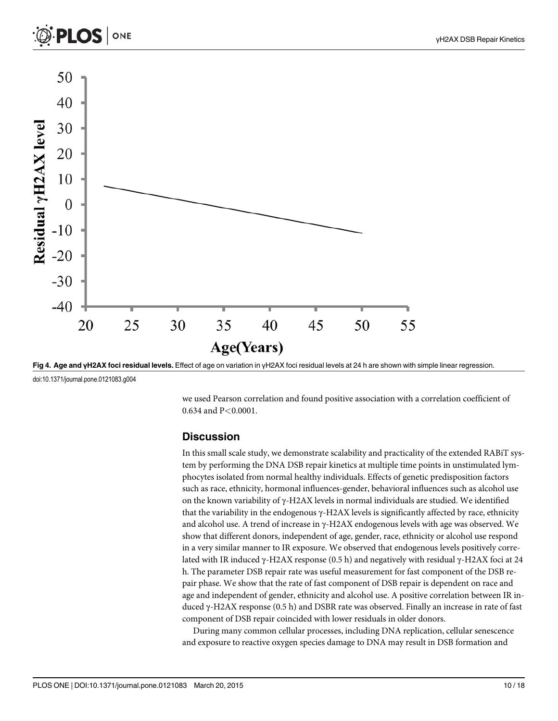<span id="page-9-0"></span>



[Fig 4. A](#page-8-0)ge and γH2AX foci residual levels. Effect of age on variation in γH2AX foci residual levels at 24 h are shown with simple linear regression.

doi:10.1371/journal.pone.0121083.g004

we used Pearson correlation and found positive association with a correlation coefficient of 0.634 and P<0.0001.

#### **Discussion**

In this small scale study, we demonstrate scalability and practicality of the extended RABiT system by performing the DNA DSB repair kinetics at multiple time points in unstimulated lymphocytes isolated from normal healthy individuals. Effects of genetic predisposition factors such as race, ethnicity, hormonal influences-gender, behavioral influences such as alcohol use on the known variability of γ-H2AX levels in normal individuals are studied. We identified that the variability in the endogenous γ-H2AX levels is significantly affected by race, ethnicity and alcohol use. A trend of increase in γ-H2AX endogenous levels with age was observed. We show that different donors, independent of age, gender, race, ethnicity or alcohol use respond in a very similar manner to IR exposure. We observed that endogenous levels positively correlated with IR induced γ-H2AX response (0.5 h) and negatively with residual γ-H2AX foci at 24 h. The parameter DSB repair rate was useful measurement for fast component of the DSB repair phase. We show that the rate of fast component of DSB repair is dependent on race and age and independent of gender, ethnicity and alcohol use. A positive correlation between IR induced γ-H2AX response (0.5 h) and DSBR rate was observed. Finally an increase in rate of fast component of DSB repair coincided with lower residuals in older donors.

During many common cellular processes, including DNA replication, cellular senescence and exposure to reactive oxygen species damage to DNA may result in DSB formation and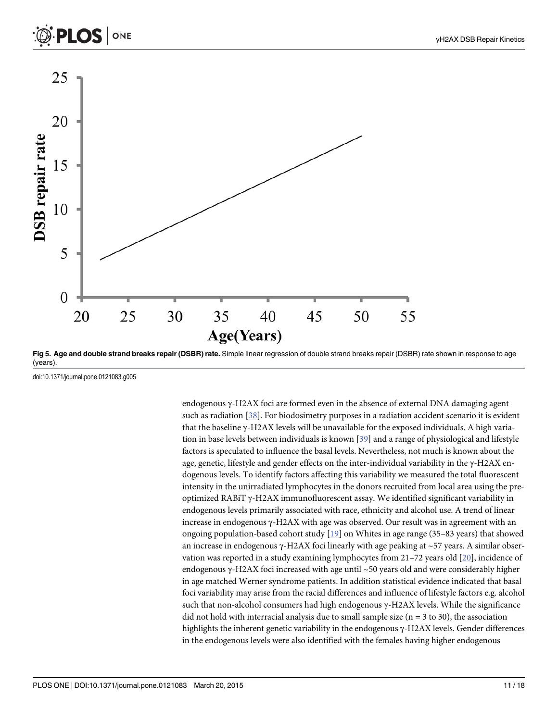<span id="page-10-0"></span>



[Fig 5. A](#page-8-0)ge and double strand breaks repair (DSBR) rate. Simple linear regression of double strand breaks repair (DSBR) rate shown in response to age (years).

doi:10.1371/journal.pone.0121083.g005

endogenous γ-H2AX foci are formed even in the absence of external DNA damaging agent such as radiation [[38](#page-16-0)]. For biodosimetry purposes in a radiation accident scenario it is evident that the baseline γ-H2AX levels will be unavailable for the exposed individuals. A high variation in base levels between individuals is known [\[39](#page-16-0)] and a range of physiological and lifestyle factors is speculated to influence the basal levels. Nevertheless, not much is known about the age, genetic, lifestyle and gender effects on the inter-individual variability in the γ-H2AX endogenous levels. To identify factors affecting this variability we measured the total fluorescent intensity in the unirradiated lymphocytes in the donors recruited from local area using the preoptimized RABiT γ-H2AX immunofluorescent assay. We identified significant variability in endogenous levels primarily associated with race, ethnicity and alcohol use. A trend of linear increase in endogenous  $γ$ -H2AX with age was observed. Our result was in agreement with an ongoing population-based cohort study [\[19\]](#page-15-0) on Whites in age range (35–83 years) that showed an increase in endogenous γ-H2AX foci linearly with age peaking at ~57 years. A similar observation was reported in a study examining lymphocytes from  $21-72$  years old  $[20]$ , incidence of endogenous γ-H2AX foci increased with age until ~50 years old and were considerably higher in age matched Werner syndrome patients. In addition statistical evidence indicated that basal foci variability may arise from the racial differences and influence of lifestyle factors e.g. alcohol such that non-alcohol consumers had high endogenous γ-H2AX levels. While the significance did not hold with interracial analysis due to small sample size ( $n = 3$  to 30), the association highlights the inherent genetic variability in the endogenous γ-H2AX levels. Gender differences in the endogenous levels were also identified with the females having higher endogenous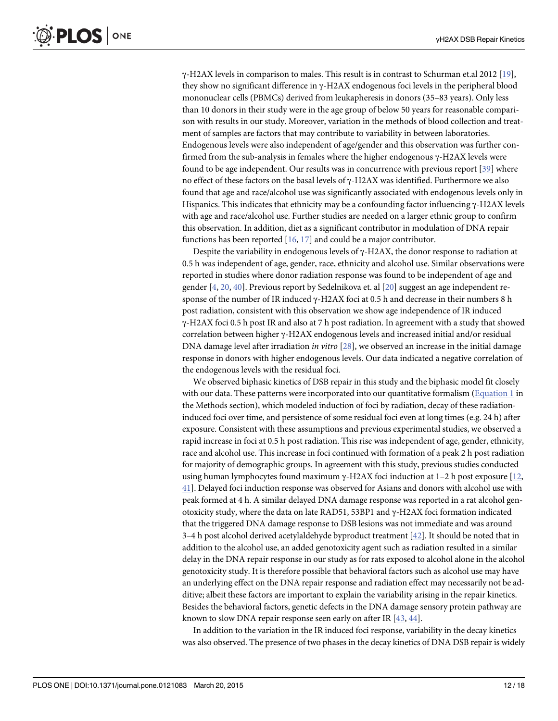<span id="page-11-0"></span>γ-H2AX levels in comparison to males. This result is in contrast to Schurman et.al 2012 [\[19\]](#page-15-0), they show no significant difference in γ-H2AX endogenous foci levels in the peripheral blood mononuclear cells (PBMCs) derived from leukapheresis in donors (35–83 years). Only less than 10 donors in their study were in the age group of below 50 years for reasonable comparison with results in our study. Moreover, variation in the methods of blood collection and treatment of samples are factors that may contribute to variability in between laboratories. Endogenous levels were also independent of age/gender and this observation was further confirmed from the sub-analysis in females where the higher endogenous  $\gamma$ -H2AX levels were found to be age independent. Our results was in concurrence with previous report [\[39\]](#page-16-0) where no effect of these factors on the basal levels of γ-H2AX was identified. Furthermore we also found that age and race/alcohol use was significantly associated with endogenous levels only in Hispanics. This indicates that ethnicity may be a confounding factor influencing  $\gamma$ -H2AX levels with age and race/alcohol use. Further studies are needed on a larger ethnic group to confirm this observation. In addition, diet as a significant contributor in modulation of DNA repair functions has been reported  $[16, 17]$  $[16, 17]$  $[16, 17]$  $[16, 17]$  $[16, 17]$  and could be a major contributor.

Despite the variability in endogenous levels of  $\gamma$ -H2AX, the donor response to radiation at 0.5 h was independent of age, gender, race, ethnicity and alcohol use. Similar observations were reported in studies where donor radiation response was found to be independent of age and gender [[4,](#page-14-0) [20,](#page-15-0) [40\]](#page-16-0). Previous report by Sedelnikova et. al [[20](#page-15-0)] suggest an age independent response of the number of IR induced γ-H2AX foci at 0.5 h and decrease in their numbers 8 h post radiation, consistent with this observation we show age independence of IR induced γ-H2AX foci 0.5 h post IR and also at 7 h post radiation. In agreement with a study that showed correlation between higher γ-H2AX endogenous levels and increased initial and/or residual DNA damage level after irradiation in vitro  $[28]$ , we observed an increase in the initial damage response in donors with higher endogenous levels. Our data indicated a negative correlation of the endogenous levels with the residual foci.

We observed biphasic kinetics of DSB repair in this study and the biphasic model fit closely with our data. These patterns were incorporated into our quantitative formalism [\(Equation 1](#page-4-0) in the Methods section), which modeled induction of foci by radiation, decay of these radiationinduced foci over time, and persistence of some residual foci even at long times (e.g. 24 h) after exposure. Consistent with these assumptions and previous experimental studies, we observed a rapid increase in foci at 0.5 h post radiation. This rise was independent of age, gender, ethnicity, race and alcohol use. This increase in foci continued with formation of a peak 2 h post radiation for majority of demographic groups. In agreement with this study, previous studies conducted using human lymphocytes found maximum  $\gamma$ -H2AX foci induction at 1–2 h post exposure [[12](#page-15-0), [41\]](#page-16-0). Delayed foci induction response was observed for Asians and donors with alcohol use with peak formed at 4 h. A similar delayed DNA damage response was reported in a rat alcohol genotoxicity study, where the data on late RAD51, 53BP1 and γ-H2AX foci formation indicated that the triggered DNA damage response to DSB lesions was not immediate and was around 3–4 h post alcohol derived acetylaldehyde byproduct treatment [\[42\]](#page-16-0). It should be noted that in addition to the alcohol use, an added genotoxicity agent such as radiation resulted in a similar delay in the DNA repair response in our study as for rats exposed to alcohol alone in the alcohol genotoxicity study. It is therefore possible that behavioral factors such as alcohol use may have an underlying effect on the DNA repair response and radiation effect may necessarily not be additive; albeit these factors are important to explain the variability arising in the repair kinetics. Besides the behavioral factors, genetic defects in the DNA damage sensory protein pathway are known to slow DNA repair response seen early on after IR [[43](#page-16-0), [44](#page-16-0)].

In addition to the variation in the IR induced foci response, variability in the decay kinetics was also observed. The presence of two phases in the decay kinetics of DNA DSB repair is widely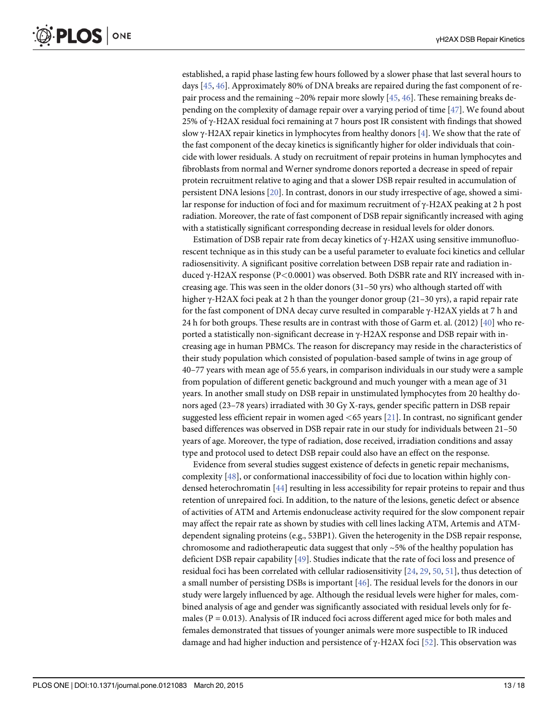<span id="page-12-0"></span>established, a rapid phase lasting few hours followed by a slower phase that last several hours to days [\[45,](#page-16-0) [46\]](#page-17-0). Approximately 80% of DNA breaks are repaired during the fast component of repair process and the remaining  $\sim$ 20% repair more slowly [\[45,](#page-16-0) [46\]](#page-17-0). These remaining breaks depending on the complexity of damage repair over a varying period of time [\[47\]](#page-17-0). We found about 25% of  $\gamma$ -H2AX residual foci remaining at 7 hours post IR consistent with findings that showed slow  $\gamma$ -H2AX repair kinetics in lymphocytes from healthy donors [[4\]](#page-14-0). We show that the rate of the fast component of the decay kinetics is significantly higher for older individuals that coincide with lower residuals. A study on recruitment of repair proteins in human lymphocytes and fibroblasts from normal and Werner syndrome donors reported a decrease in speed of repair protein recruitment relative to aging and that a slower DSB repair resulted in accumulation of persistent DNA lesions [\[20\]](#page-15-0). In contrast, donors in our study irrespective of age, showed a similar response for induction of foci and for maximum recruitment of γ-H2AX peaking at 2 h post radiation. Moreover, the rate of fast component of DSB repair significantly increased with aging with a statistically significant corresponding decrease in residual levels for older donors.

Estimation of DSB repair rate from decay kinetics of  $\gamma$ -H2AX using sensitive immunofluorescent technique as in this study can be a useful parameter to evaluate foci kinetics and cellular radiosensitivity. A significant positive correlation between DSB repair rate and radiation induced γ-H2AX response (P<0.0001) was observed. Both DSBR rate and RIY increased with increasing age. This was seen in the older donors (31–50 yrs) who although started off with higher γ-H2AX foci peak at 2 h than the younger donor group (21–30 yrs), a rapid repair rate for the fast component of DNA decay curve resulted in comparable γ-H2AX yields at 7 h and 24 h for both groups. These results are in contrast with those of Garm et. al. (2012) [\[40\]](#page-16-0) who reported a statistically non-significant decrease in  $\gamma$ -H2AX response and DSB repair with increasing age in human PBMCs. The reason for discrepancy may reside in the characteristics of their study population which consisted of population-based sample of twins in age group of 40–77 years with mean age of 55.6 years, in comparison individuals in our study were a sample from population of different genetic background and much younger with a mean age of 31 years. In another small study on DSB repair in unstimulated lymphocytes from 20 healthy donors aged (23–78 years) irradiated with 30 Gy X-rays, gender specific pattern in DSB repair suggested less efficient repair in women aged <65 years [[21](#page-15-0)]. In contrast, no significant gender based differences was observed in DSB repair rate in our study for individuals between 21–50 years of age. Moreover, the type of radiation, dose received, irradiation conditions and assay type and protocol used to detect DSB repair could also have an effect on the response.

Evidence from several studies suggest existence of defects in genetic repair mechanisms, complexity [[48](#page-17-0)], or conformational inaccessibility of foci due to location within highly condensed heterochromatin [[44](#page-16-0)] resulting in less accessibility for repair proteins to repair and thus retention of unrepaired foci. In addition, to the nature of the lesions, genetic defect or absence of activities of ATM and Artemis endonuclease activity required for the slow component repair may affect the repair rate as shown by studies with cell lines lacking ATM, Artemis and ATMdependent signaling proteins (e.g., 53BP1). Given the heterogenity in the DSB repair response, chromosome and radiotherapeutic data suggest that only  $\sim$  5% of the healthy population has deficient DSB repair capability [\[49](#page-17-0)]. Studies indicate that the rate of foci loss and presence of residual foci has been correlated with cellular radiosensitivity  $[24, 29, 50, 51]$  $[24, 29, 50, 51]$  $[24, 29, 50, 51]$  $[24, 29, 50, 51]$  $[24, 29, 50, 51]$  $[24, 29, 50, 51]$  $[24, 29, 50, 51]$  $[24, 29, 50, 51]$  $[24, 29, 50, 51]$ , thus detection of a small number of persisting DSBs is important [[46](#page-17-0)]. The residual levels for the donors in our study were largely influenced by age. Although the residual levels were higher for males, combined analysis of age and gender was significantly associated with residual levels only for females ( $P = 0.013$ ). Analysis of IR induced foci across different aged mice for both males and females demonstrated that tissues of younger animals were more suspectible to IR induced damage and had higher induction and persistence of  $\gamma$ -H2AX foci [[52\]](#page-17-0). This observation was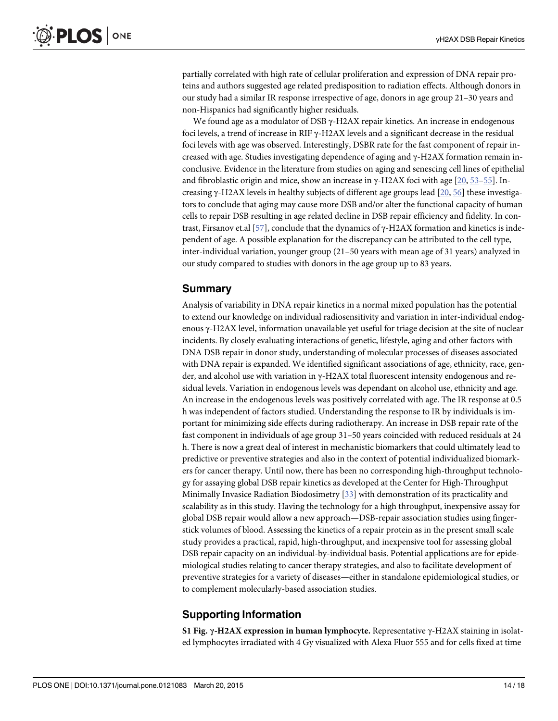<span id="page-13-0"></span>partially correlated with high rate of cellular proliferation and expression of DNA repair proteins and authors suggested age related predisposition to radiation effects. Although donors in our study had a similar IR response irrespective of age, donors in age group 21–30 years and non-Hispanics had significantly higher residuals.

We found age as a modulator of DSB  $\gamma$ -H2AX repair kinetics. An increase in endogenous foci levels, a trend of increase in RIF γ-H2AX levels and a significant decrease in the residual foci levels with age was observed. Interestingly, DSBR rate for the fast component of repair increased with age. Studies investigating dependence of aging and γ-H2AX formation remain inconclusive. Evidence in the literature from studies on aging and senescing cell lines of epithelial and fibroblastic origin and mice, show an increase in  $\gamma$ -H2AX foci with age [[20,](#page-15-0) [53](#page-17-0)–[55](#page-17-0)]. Increasing γ-H2AX levels in healthy subjects of different age groups lead [\[20,](#page-15-0) [56\]](#page-17-0) these investigators to conclude that aging may cause more DSB and/or alter the functional capacity of human cells to repair DSB resulting in age related decline in DSB repair efficiency and fidelity. In contrast, Firsanov et.al [\[57](#page-17-0)], conclude that the dynamics of γ-H2AX formation and kinetics is independent of age. A possible explanation for the discrepancy can be attributed to the cell type, inter-individual variation, younger group (21–50 years with mean age of 31 years) analyzed in our study compared to studies with donors in the age group up to 83 years.

#### Summary

Analysis of variability in DNA repair kinetics in a normal mixed population has the potential to extend our knowledge on individual radiosensitivity and variation in inter-individual endogenous γ-H2AX level, information unavailable yet useful for triage decision at the site of nuclear incidents. By closely evaluating interactions of genetic, lifestyle, aging and other factors with DNA DSB repair in donor study, understanding of molecular processes of diseases associated with DNA repair is expanded. We identified significant associations of age, ethnicity, race, gender, and alcohol use with variation in γ-H2AX total fluorescent intensity endogenous and residual levels. Variation in endogenous levels was dependant on alcohol use, ethnicity and age. An increase in the endogenous levels was positively correlated with age. The IR response at 0.5 h was independent of factors studied. Understanding the response to IR by individuals is important for minimizing side effects during radiotherapy. An increase in DSB repair rate of the fast component in individuals of age group 31–50 years coincided with reduced residuals at 24 h. There is now a great deal of interest in mechanistic biomarkers that could ultimately lead to predictive or preventive strategies and also in the context of potential individualized biomarkers for cancer therapy. Until now, there has been no corresponding high-throughput technology for assaying global DSB repair kinetics as developed at the Center for High-Throughput Minimally Invasice Radiation Biodosimetry [\[33](#page-16-0)] with demonstration of its practicality and scalability as in this study. Having the technology for a high throughput, inexpensive assay for global DSB repair would allow a new approach—DSB-repair association studies using fingerstick volumes of blood. Assessing the kinetics of a repair protein as in the present small scale study provides a practical, rapid, high-throughput, and inexpensive tool for assessing global DSB repair capacity on an individual-by-individual basis. Potential applications are for epidemiological studies relating to cancer therapy strategies, and also to facilitate development of preventive strategies for a variety of diseases—either in standalone epidemiological studies, or to complement molecularly-based association studies.

#### Supporting Information

[S1 Fig.](http://www.plosone.org/article/fetchSingleRepresentation.action?uri=info:doi/10.1371/journal.pone.0121083.s001) γ-H2AX expression in human lymphocyte. Representative γ-H2AX staining in isolated lymphocytes irradiated with 4 Gy visualized with Alexa Fluor 555 and for cells fixed at time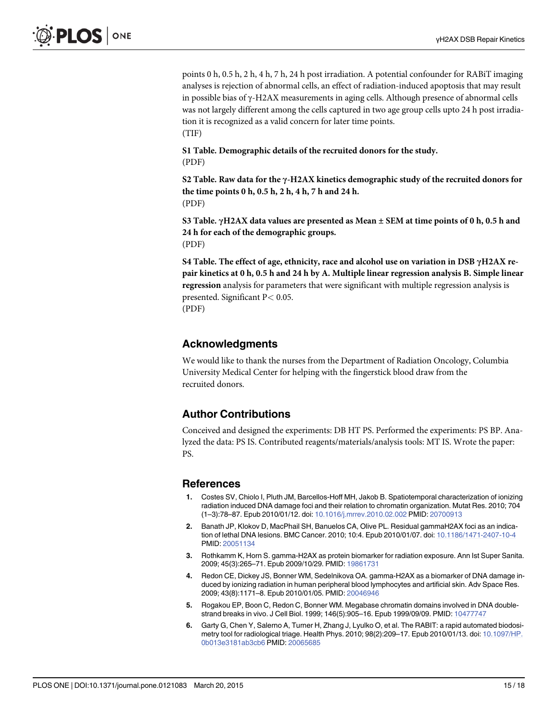<span id="page-14-0"></span>points 0 h, 0.5 h, 2 h, 4 h, 7 h, 24 h post irradiation. A potential confounder for RABiT imaging analyses is rejection of abnormal cells, an effect of radiation-induced apoptosis that may result in possible bias of γ-H2AX measurements in aging cells. Although presence of abnormal cells was not largely different among the cells captured in two age group cells upto 24 h post irradiation it is recognized as a valid concern for later time points. (TIF)

[S1 Table](http://www.plosone.org/article/fetchSingleRepresentation.action?uri=info:doi/10.1371/journal.pone.0121083.s002). Demographic details of the recruited donors for the study. (PDF)

[S2 Table](http://www.plosone.org/article/fetchSingleRepresentation.action?uri=info:doi/10.1371/journal.pone.0121083.s003). Raw data for the γ-H2AX kinetics demographic study of the recruited donors for the time points 0 h, 0.5 h, 2 h, 4 h, 7 h and 24 h. (PDF)

[S3 Table](http://www.plosone.org/article/fetchSingleRepresentation.action?uri=info:doi/10.1371/journal.pone.0121083.s004). γH2AX data values are presented as Mean  $\pm$  SEM at time points of 0 h, 0.5 h and 24 h for each of the demographic groups. (PDF)

[S4 Table](http://www.plosone.org/article/fetchSingleRepresentation.action?uri=info:doi/10.1371/journal.pone.0121083.s005). The effect of age, ethnicity, race and alcohol use on variation in DSB γH2AX repair kinetics at 0 h, 0.5 h and 24 h by A. Multiple linear regression analysis B. Simple linear regression analysis for parameters that were significant with multiple regression analysis is presented. Significant P< 0.05.

(PDF)

#### Acknowledgments

We would like to thank the nurses from the Department of Radiation Oncology, Columbia University Medical Center for helping with the fingerstick blood draw from the recruited donors.

# Author Contributions

Conceived and designed the experiments: DB HT PS. Performed the experiments: PS BP. Analyzed the data: PS IS. Contributed reagents/materials/analysis tools: MT IS. Wrote the paper: PS.

#### References

- [1.](#page-0-0) Costes SV, Chiolo I, Pluth JM, Barcellos-Hoff MH, Jakob B. Spatiotemporal characterization of ionizing radiation induced DNA damage foci and their relation to chromatin organization. Mutat Res. 2010; 704 (1–3):78–87. Epub 2010/01/12. doi: [10.1016/j.mrrev.2010.02.002](http://dx.doi.org/10.1016/j.mrrev.2010.02.002) PMID: [20700913](http://www.ncbi.nlm.nih.gov/pubmed/20700913)
- [2.](#page-1-0) Banath JP, Klokov D, MacPhail SH, Banuelos CA, Olive PL. Residual gammaH2AX foci as an indication of lethal DNA lesions. BMC Cancer. 2010; 10:4. Epub 2010/01/07. doi: [10.1186/1471-2407-10-4](http://dx.doi.org/10.1186/1471-2407-10-4) PMID: [20051134](http://www.ncbi.nlm.nih.gov/pubmed/20051134)
- [3.](#page-1-0) Rothkamm K, Horn S. gamma-H2AX as protein biomarker for radiation exposure. Ann Ist Super Sanita. 2009; 45(3):265–71. Epub 2009/10/29. PMID: [19861731](http://www.ncbi.nlm.nih.gov/pubmed/19861731)
- [4.](#page-1-0) Redon CE, Dickey JS, Bonner WM, Sedelnikova OA. gamma-H2AX as a biomarker of DNA damage induced by ionizing radiation in human peripheral blood lymphocytes and artificial skin. Adv Space Res. 2009; 43(8):1171–8. Epub 2010/01/05. PMID: [20046946](http://www.ncbi.nlm.nih.gov/pubmed/20046946)
- [5.](#page-1-0) Rogakou EP, Boon C, Redon C, Bonner WM. Megabase chromatin domains involved in DNA doublestrand breaks in vivo. J Cell Biol. 1999; 146(5):905–16. Epub 1999/09/09. PMID: [10477747](http://www.ncbi.nlm.nih.gov/pubmed/10477747)
- [6.](#page-1-0) Garty G, Chen Y, Salerno A, Turner H, Zhang J, Lyulko O, et al. The RABIT: a rapid automated biodosimetry tool for radiological triage. Health Phys. 2010; 98(2):209–17. Epub 2010/01/13. doi: [10.1097/HP.](http://dx.doi.org/10.1097/HP.0b013e3181ab3cb6) [0b013e3181ab3cb6](http://dx.doi.org/10.1097/HP.0b013e3181ab3cb6) PMID: [20065685](http://www.ncbi.nlm.nih.gov/pubmed/20065685)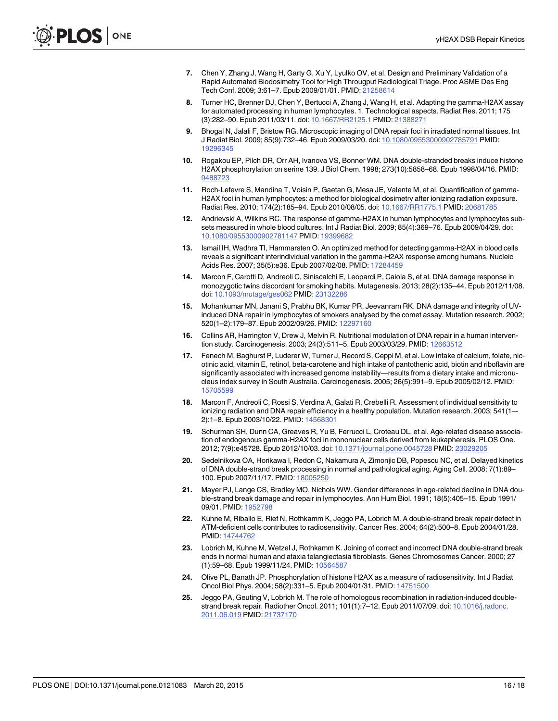- <span id="page-15-0"></span>[7.](#page-1-0) Chen Y, Zhang J, Wang H, Garty G, Xu Y, Lyulko OV, et al. Design and Preliminary Validation of a Rapid Automated Biodosimetry Tool for High Througput Radiological Triage. Proc ASME Des Eng Tech Conf. 2009; 3:61–7. Epub 2009/01/01. PMID: [21258614](http://www.ncbi.nlm.nih.gov/pubmed/21258614)
- [8.](#page-1-0) Turner HC, Brenner DJ, Chen Y, Bertucci A, Zhang J, Wang H, et al. Adapting the gamma-H2AX assay for automated processing in human lymphocytes. 1. Technological aspects. Radiat Res. 2011; 175 (3):282–90. Epub 2011/03/11. doi: [10.1667/RR2125.1](http://dx.doi.org/10.1667/RR2125.1) PMID: [21388271](http://www.ncbi.nlm.nih.gov/pubmed/21388271)
- [9.](#page-1-0) Bhogal N, Jalali F, Bristow RG. Microscopic imaging of DNA repair foci in irradiated normal tissues. Int J Radiat Biol. 2009; 85(9):732–46. Epub 2009/03/20. doi: [10.1080/09553000902785791](http://dx.doi.org/10.1080/09553000902785791) PMID: [19296345](http://www.ncbi.nlm.nih.gov/pubmed/19296345)
- [10.](#page-1-0) Rogakou EP, Pilch DR, Orr AH, Ivanova VS, Bonner WM. DNA double-stranded breaks induce histone H2AX phosphorylation on serine 139. J Biol Chem. 1998; 273(10):5858–68. Epub 1998/04/16. PMID: [9488723](http://www.ncbi.nlm.nih.gov/pubmed/9488723)
- [11.](#page-1-0) Roch-Lefevre S, Mandina T, Voisin P, Gaetan G, Mesa JE, Valente M, et al. Quantification of gamma-H2AX foci in human lymphocytes: a method for biological dosimetry after ionizing radiation exposure. Radiat Res. 2010; 174(2):185–94. Epub 2010/08/05. doi: [10.1667/RR1775.1](http://dx.doi.org/10.1667/RR1775.1) PMID: [20681785](http://www.ncbi.nlm.nih.gov/pubmed/20681785)
- [12.](#page-1-0) Andrievski A, Wilkins RC. The response of gamma-H2AX in human lymphocytes and lymphocytes subsets measured in whole blood cultures. Int J Radiat Biol. 2009; 85(4):369–76. Epub 2009/04/29. doi: [10.1080/09553000902781147](http://dx.doi.org/10.1080/09553000902781147) PMID: [19399682](http://www.ncbi.nlm.nih.gov/pubmed/19399682)
- [13.](#page-1-0) Ismail IH, Wadhra TI, Hammarsten O. An optimized method for detecting gamma-H2AX in blood cells reveals a significant interindividual variation in the gamma-H2AX response among humans. Nucleic Acids Res. 2007; 35(5):e36. Epub 2007/02/08. PMID: [17284459](http://www.ncbi.nlm.nih.gov/pubmed/17284459)
- [14.](#page-1-0) Marcon F, Carotti D, Andreoli C, Siniscalchi E, Leopardi P, Caiola S, et al. DNA damage response in monozygotic twins discordant for smoking habits. Mutagenesis. 2013; 28(2):135–44. Epub 2012/11/08. doi: [10.1093/mutage/ges062](http://dx.doi.org/10.1093/mutage/ges062) PMID: [23132286](http://www.ncbi.nlm.nih.gov/pubmed/23132286)
- [15.](#page-1-0) Mohankumar MN, Janani S, Prabhu BK, Kumar PR, Jeevanram RK. DNA damage and integrity of UVinduced DNA repair in lymphocytes of smokers analysed by the comet assay. Mutation research. 2002; 520(1–2):179–87. Epub 2002/09/26. PMID: [12297160](http://www.ncbi.nlm.nih.gov/pubmed/12297160)
- [16.](#page-1-0) Collins AR, Harrington V, Drew J, Melvin R. Nutritional modulation of DNA repair in a human intervention study. Carcinogenesis. 2003; 24(3):511–5. Epub 2003/03/29. PMID: [12663512](http://www.ncbi.nlm.nih.gov/pubmed/12663512)
- [17.](#page-1-0) Fenech M, Baghurst P, Luderer W, Turner J, Record S, Ceppi M, et al. Low intake of calcium, folate, nicotinic acid, vitamin E, retinol, beta-carotene and high intake of pantothenic acid, biotin and riboflavin are significantly associated with increased genome instability—results from a dietary intake and micronucleus index survey in South Australia. Carcinogenesis. 2005; 26(5):991–9. Epub 2005/02/12. PMID: [15705599](http://www.ncbi.nlm.nih.gov/pubmed/15705599)
- [18.](#page-1-0) Marcon F, Andreoli C, Rossi S, Verdina A, Galati R, Crebelli R. Assessment of individual sensitivity to ionizing radiation and DNA repair efficiency in a healthy population. Mutation research. 2003; 541(1–- 2):1–8. Epub 2003/10/22. PMID: [14568301](http://www.ncbi.nlm.nih.gov/pubmed/14568301)
- [19.](#page-10-0) Schurman SH, Dunn CA, Greaves R, Yu B, Ferrucci L, Croteau DL, et al. Age-related disease association of endogenous gamma-H2AX foci in mononuclear cells derived from leukapheresis. PLOS One. 2012; 7(9):e45728. Epub 2012/10/03. doi: [10.1371/journal.pone.0045728](http://dx.doi.org/10.1371/journal.pone.0045728) PMID: [23029205](http://www.ncbi.nlm.nih.gov/pubmed/23029205)
- [20.](#page-10-0) Sedelnikova OA, Horikawa I, Redon C, Nakamura A, Zimonjic DB, Popescu NC, et al. Delayed kinetics of DNA double-strand break processing in normal and pathological aging. Aging Cell. 2008; 7(1):89– 100. Epub 2007/11/17. PMID: [18005250](http://www.ncbi.nlm.nih.gov/pubmed/18005250)
- [21.](#page-1-0) Mayer PJ, Lange CS, Bradley MO, Nichols WW. Gender differences in age-related decline in DNA double-strand break damage and repair in lymphocytes. Ann Hum Biol. 1991; 18(5):405–15. Epub 1991/ 09/01. PMID: [1952798](http://www.ncbi.nlm.nih.gov/pubmed/1952798)
- [22.](#page-1-0) Kuhne M, Riballo E, Rief N, Rothkamm K, Jeggo PA, Lobrich M. A double-strand break repair defect in ATM-deficient cells contributes to radiosensitivity. Cancer Res. 2004; 64(2):500–8. Epub 2004/01/28. PMID: [14744762](http://www.ncbi.nlm.nih.gov/pubmed/14744762)
- 23. Lobrich M, Kuhne M, Wetzel J, Rothkamm K. Joining of correct and incorrect DNA double-strand break ends in normal human and ataxia telangiectasia fibroblasts. Genes Chromosomes Cancer. 2000; 27 (1):59–68. Epub 1999/11/24. PMID: [10564587](http://www.ncbi.nlm.nih.gov/pubmed/10564587)
- [24.](#page-1-0) Olive PL, Banath JP. Phosphorylation of histone H2AX as a measure of radiosensitivity. Int J Radiat Oncol Biol Phys. 2004; 58(2):331–5. Epub 2004/01/31. PMID: [14751500](http://www.ncbi.nlm.nih.gov/pubmed/14751500)
- [25.](#page-1-0) Jeggo PA, Geuting V, Lobrich M. The role of homologous recombination in radiation-induced doublestrand break repair. Radiother Oncol. 2011; 101(1):7–12. Epub 2011/07/09. doi: [10.1016/j.radonc.](http://dx.doi.org/10.1016/j.radonc.2011.06.019) [2011.06.019](http://dx.doi.org/10.1016/j.radonc.2011.06.019) PMID: [21737170](http://www.ncbi.nlm.nih.gov/pubmed/21737170)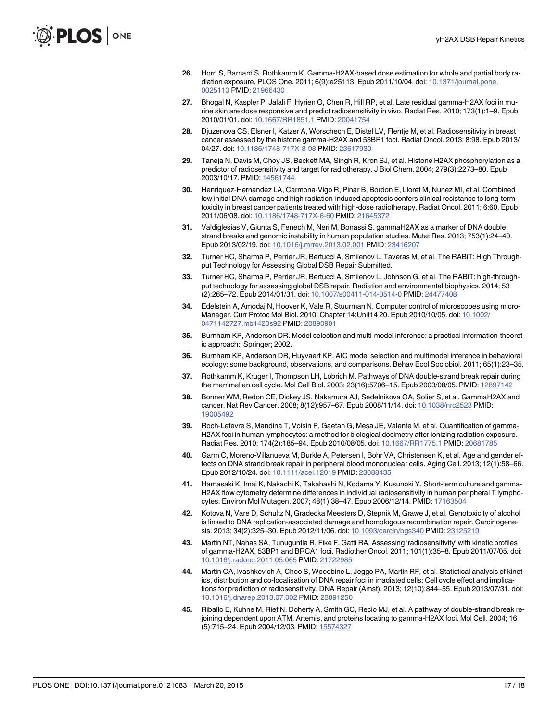- <span id="page-16-0"></span>[26.](#page-1-0) Horn S, Barnard S, Rothkamm K. Gamma-H2AX-based dose estimation for whole and partial body radiation exposure. PLOS One. 2011; 6(9):e25113. Epub 2011/10/04. doi: [10.1371/journal.pone.](http://dx.doi.org/10.1371/journal.pone.0025113) [0025113](http://dx.doi.org/10.1371/journal.pone.0025113) PMID: [21966430](http://www.ncbi.nlm.nih.gov/pubmed/21966430)
- [27.](#page-1-0) Bhogal N, Kaspler P, Jalali F, Hyrien O, Chen R, Hill RP, et al. Late residual gamma-H2AX foci in murine skin are dose responsive and predict radiosensitivity in vivo. Radiat Res. 2010; 173(1):1–9. Epub 2010/01/01. doi: [10.1667/RR1851.1](http://dx.doi.org/10.1667/RR1851.1) PMID: [20041754](http://www.ncbi.nlm.nih.gov/pubmed/20041754)
- [28.](#page-1-0) Djuzenova CS, Elsner I, Katzer A, Worschech E, Distel LV, Flentje M, et al. Radiosensitivity in breast cancer assessed by the histone gamma-H2AX and 53BP1 foci. Radiat Oncol. 2013; 8:98. Epub 2013/ 04/27. doi: [10.1186/1748-717X-8-98](http://dx.doi.org/10.1186/1748-717X-8-98) PMID: [23617930](http://www.ncbi.nlm.nih.gov/pubmed/23617930)
- [29.](#page-1-0) Taneja N, Davis M, Choy JS, Beckett MA, Singh R, Kron SJ, et al. Histone H2AX phosphorylation as a predictor of radiosensitivity and target for radiotherapy. J Biol Chem. 2004; 279(3):2273–80. Epub 2003/10/17. PMID: [14561744](http://www.ncbi.nlm.nih.gov/pubmed/14561744)
- [30.](#page-1-0) Henriquez-Hernandez LA, Carmona-Vigo R, Pinar B, Bordon E, Lloret M, Nunez MI, et al. Combined low initial DNA damage and high radiation-induced apoptosis confers clinical resistance to long-term toxicity in breast cancer patients treated with high-dose radiotherapy. Radiat Oncol. 2011; 6:60. Epub 2011/06/08. doi: [10.1186/1748-717X-6-60](http://dx.doi.org/10.1186/1748-717X-6-60) PMID: [21645372](http://www.ncbi.nlm.nih.gov/pubmed/21645372)
- [31.](#page-1-0) Valdiglesias V, Giunta S, Fenech M, Neri M, Bonassi S. gammaH2AX as a marker of DNA double strand breaks and genomic instability in human population studies. Mutat Res. 2013; 753(1):24–40. Epub 2013/02/19. doi: [10.1016/j.mrrev.2013.02.001](http://dx.doi.org/10.1016/j.mrrev.2013.02.001) PMID: [23416207](http://www.ncbi.nlm.nih.gov/pubmed/23416207)
- [32.](#page-2-0) Turner HC, Sharma P, Perrier JR, Bertucci A, Smilenov L, Taveras M, et al. The RABiT: High Throughput Technology for Assessing Global DSB Repair Submitted.
- [33.](#page-2-0) Turner HC, Sharma P, Perrier JR, Bertucci A, Smilenov L, Johnson G, et al. The RABiT: high-throughput technology for assessing global DSB repair. Radiation and environmental biophysics. 2014; 53 (2):265–72. Epub 2014/01/31. doi: [10.1007/s00411-014-0514-0](http://dx.doi.org/10.1007/s00411-014-0514-0) PMID: [24477408](http://www.ncbi.nlm.nih.gov/pubmed/24477408)
- [34.](#page-3-0) Edelstein A, Amodaj N, Hoover K, Vale R, Stuurman N. Computer control of microscopes using micro-Manager. Curr Protoc Mol Biol. 2010; Chapter 14:Unit14 20. Epub 2010/10/05. doi: [10.1002/](http://dx.doi.org/10.1002/0471142727.mb1420s92) [0471142727.mb1420s92](http://dx.doi.org/10.1002/0471142727.mb1420s92) PMID: [20890901](http://www.ncbi.nlm.nih.gov/pubmed/20890901)
- [35.](#page-4-0) Burnham KP, Anderson DR. Model selection and multi-model inference: a practical information-theoretic approach: Springer; 2002.
- [36.](#page-4-0) Burnham KP, Anderson DR, Huyvaert KP. AIC model selection and multimodel inference in behavioral ecology: some background, observations, and comparisons. Behav Ecol Sociobiol. 2011; 65(1):23–35.
- [37.](#page-8-0) Rothkamm K, Kruger I, Thompson LH, Lobrich M. Pathways of DNA double-strand break repair during the mammalian cell cycle. Mol Cell Biol. 2003; 23(16):5706–15. Epub 2003/08/05. PMID: [12897142](http://www.ncbi.nlm.nih.gov/pubmed/12897142)
- [38.](#page-10-0) Bonner WM, Redon CE, Dickey JS, Nakamura AJ, Sedelnikova OA, Solier S, et al. GammaH2AX and cancer. Nat Rev Cancer. 2008; 8(12):957-67. Epub 2008/11/14. doi: [10.1038/nrc2523](http://dx.doi.org/10.1038/nrc2523) PMID: [19005492](http://www.ncbi.nlm.nih.gov/pubmed/19005492)
- [39.](#page-10-0) Roch-Lefevre S, Mandina T, Voisin P, Gaetan G, Mesa JE, Valente M, et al. Quantification of gamma-H2AX foci in human lymphocytes: a method for biological dosimetry after ionizing radiation exposure. Radiat Res. 2010; 174(2): 185-94. Epub 2010/08/05. doi: [10.1667/RR1775.1](http://dx.doi.org/10.1667/RR1775.1) PMID: [20681785](http://www.ncbi.nlm.nih.gov/pubmed/20681785)
- [40.](#page-11-0) Garm C, Moreno-Villanueva M, Burkle A, Petersen I, Bohr VA, Christensen K, et al. Age and gender effects on DNA strand break repair in peripheral blood mononuclear cells. Aging Cell. 2013; 12(1):58–66. Epub 2012/10/24. doi: [10.1111/acel.12019](http://dx.doi.org/10.1111/acel.12019) PMID: [23088435](http://www.ncbi.nlm.nih.gov/pubmed/23088435)
- [41.](#page-11-0) Hamasaki K, Imai K, Nakachi K, Takahashi N, Kodama Y, Kusunoki Y. Short-term culture and gamma-H2AX flow cytometry determine differences in individual radiosensitivity in human peripheral T lymphocytes. Environ Mol Mutagen. 2007; 48(1):38–47. Epub 2006/12/14. PMID: [17163504](http://www.ncbi.nlm.nih.gov/pubmed/17163504)
- [42.](#page-11-0) Kotova N, Vare D, Schultz N, Gradecka Meesters D, Stepnik M, Grawe J, et al. Genotoxicity of alcohol is linked to DNA replication-associated damage and homologous recombination repair. Carcinogenesis. 2013; 34(2):325–30. Epub 2012/11/06. doi: [10.1093/carcin/bgs340](http://dx.doi.org/10.1093/carcin/bgs340) PMID: [23125219](http://www.ncbi.nlm.nih.gov/pubmed/23125219)
- [43.](#page-11-0) Martin NT, Nahas SA, Tunuguntla R, Fike F, Gatti RA. Assessing 'radiosensitivity' with kinetic profiles of gamma-H2AX, 53BP1 and BRCA1 foci. Radiother Oncol. 2011; 101(1):35–8. Epub 2011/07/05. doi: [10.1016/j.radonc.2011.05.065](http://dx.doi.org/10.1016/j.radonc.2011.05.065) PMID: [21722985](http://www.ncbi.nlm.nih.gov/pubmed/21722985)
- [44.](#page-11-0) Martin OA, Ivashkevich A, Choo S, Woodbine L, Jeggo PA, Martin RF, et al. Statistical analysis of kinetics, distribution and co-localisation of DNA repair foci in irradiated cells: Cell cycle effect and implications for prediction of radiosensitivity. DNA Repair (Amst). 2013; 12(10):844–55. Epub 2013/07/31. doi: [10.1016/j.dnarep.2013.07.002](http://dx.doi.org/10.1016/j.dnarep.2013.07.002) PMID: [23891250](http://www.ncbi.nlm.nih.gov/pubmed/23891250)
- [45.](#page-12-0) Riballo E, Kuhne M, Rief N, Doherty A, Smith GC, Recio MJ, et al. A pathway of double-strand break rejoining dependent upon ATM, Artemis, and proteins locating to gamma-H2AX foci. Mol Cell. 2004; 16 (5):715–24. Epub 2004/12/03. PMID: [15574327](http://www.ncbi.nlm.nih.gov/pubmed/15574327)